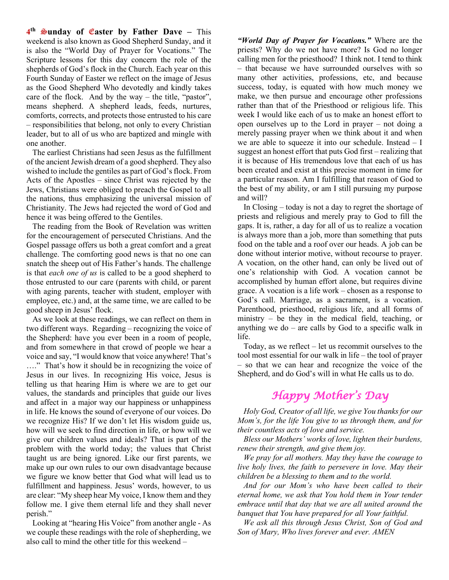**4th** S**unday of** E**aster by Father Dave –** This weekend is also known as Good Shepherd Sunday, and it is also the "World Day of Prayer for Vocations." The Scripture lessons for this day concern the role of the shepherds of God's flock in the Church. Each year on this Fourth Sunday of Easter we reflect on the image of Jesus as the Good Shepherd Who devotedly and kindly takes care of the flock. And by the way – the title, "pastor", means shepherd. A shepherd leads, feeds, nurtures, comforts, corrects, and protects those entrusted to his care – responsibilities that belong, not only to every Christian leader, but to all of us who are baptized and mingle with one another.

 The earliest Christians had seen Jesus as the fulfillment of the ancient Jewish dream of a good shepherd. They also wished to include the gentiles as part of God's flock. From Acts of the Apostles – since Christ was rejected by the Jews, Christians were obliged to preach the Gospel to all the nations, thus emphasizing the universal mission of Christianity. The Jews had rejected the word of God and hence it was being offered to the Gentiles.

 The reading from the Book of Revelation was written for the encouragement of persecuted Christians. And the Gospel passage offers us both a great comfort and a great challenge. The comforting good news is that no one can snatch the sheep out of His Father's hands. The challenge is that *each one of us* is called to be a good shepherd to those entrusted to our care (parents with child, or parent with aging parents, teacher with student, employer with employee, etc.) and, at the same time, we are called to be good sheep in Jesus' flock.

 As we look at these readings, we can reflect on them in two different ways. Regarding – recognizing the voice of the Shepherd: have you ever been in a room of people, and from somewhere in that crowd of people we hear a voice and say, "I would know that voice anywhere! That's …." That's how it should be in recognizing the voice of Jesus in our lives. In recognizing His voice, Jesus is telling us that hearing Him is where we are to get our values, the standards and principles that guide our lives and affect in a major way our happiness or unhappiness in life. He knows the sound of everyone of our voices. Do we recognize His? If we don't let His wisdom guide us, how will we seek to find direction in life, or how will we give our children values and ideals? That is part of the problem with the world today; the values that Christ taught us are being ignored. Like our first parents, we make up our own rules to our own disadvantage because we figure we know better that God what will lead us to fulfillment and happiness. Jesus' words, however, to us are clear: "My sheep hear My voice, I know them and they follow me. I give them eternal life and they shall never perish."

 Looking at "hearing His Voice" from another angle - As we couple these readings with the role of shepherding, we also call to mind the other title for this weekend –

*"World Day of Prayer for Vocations."* Where are the priests? Why do we not have more? Is God no longer calling men for the priesthood? I think not. I tend to think – that because we have surrounded ourselves with so many other activities, professions, etc, and because success, today, is equated with how much money we make, we then pursue and encourage other professions rather than that of the Priesthood or religious life. This week I would like each of us to make an honest effort to open ourselves up to the Lord in prayer – not doing a merely passing prayer when we think about it and when we are able to squeeze it into our schedule. Instead – I suggest an honest effort that puts God first – realizing that it is because of His tremendous love that each of us has been created and exist at this precise moment in time for a particular reason. Am I fulfilling that reason of God to the best of my ability, or am I still pursuing my purpose and will?

 In Closing – today is not a day to regret the shortage of priests and religious and merely pray to God to fill the gaps. It is, rather, a day for all of us to realize a vocation is always more than a job, more than something that puts food on the table and a roof over our heads. A job can be done without interior motive, without recourse to prayer. A vocation, on the other hand, can only be lived out of one's relationship with God. A vocation cannot be accomplished by human effort alone, but requires divine grace. A vocation is a life work – chosen as a response to God's call. Marriage, as a sacrament, is a vocation. Parenthood, priesthood, religious life, and all forms of ministry – be they in the medical field, teaching, or anything we do  $-$  are calls by God to a specific walk in life.

 Today, as we reflect – let us recommit ourselves to the tool most essential for our walk in life – the tool of prayer – so that we can hear and recognize the voice of the Shepherd, and do God's will in what He calls us to do.

## *Happy Mother's Day*

 *Holy God, Creator of all life, we give You thanks for our Mom's, for the life You give to us through them, and for their countless acts of love and service.*

 *Bless our Mothers' works of love, lighten their burdens, renew their strength, and give them joy.*

 *We pray for all mothers. May they have the courage to live holy lives, the faith to persevere in love. May their children be a blessing to them and to the world.* 

 *And for our Mom's who have been called to their eternal home, we ask that You hold them in Your tender embrace until that day that we are all united around the banquet that You have prepared for all Your faithful.*

 *We ask all this through Jesus Christ, Son of God and Son of Mary, Who lives forever and ever. AMEN*